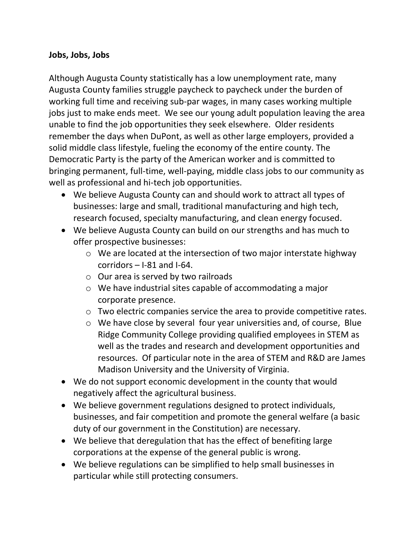## **Jobs, Jobs, Jobs**

Although Augusta County statistically has a low unemployment rate, many Augusta County families struggle paycheck to paycheck under the burden of working full time and receiving sub-par wages, in many cases working multiple jobs just to make ends meet. We see our young adult population leaving the area unable to find the job opportunities they seek elsewhere. Older residents remember the days when DuPont, as well as other large employers, provided a solid middle class lifestyle, fueling the economy of the entire county. The Democratic Party is the party of the American worker and is committed to bringing permanent, full-time, well-paying, middle class jobs to our community as well as professional and hi-tech job opportunities.

- We believe Augusta County can and should work to attract all types of businesses: large and small, traditional manufacturing and high tech, research focused, specialty manufacturing, and clean energy focused.
- We believe Augusta County can build on our strengths and has much to offer prospective businesses:
	- $\circ$  We are located at the intersection of two major interstate highway corridors – I-81 and I-64.
	- $\circ$  Our area is served by two railroads
	- o We have industrial sites capable of accommodating a major corporate presence.
	- o Two electric companies service the area to provide competitive rates.
	- o We have close by several four year universities and, of course, Blue Ridge Community College providing qualified employees in STEM as well as the trades and research and development opportunities and resources. Of particular note in the area of STEM and R&D are James Madison University and the University of Virginia.
- We do not support economic development in the county that would negatively affect the agricultural business.
- We believe government regulations designed to protect individuals, businesses, and fair competition and promote the general welfare (a basic duty of our government in the Constitution) are necessary.
- We believe that deregulation that has the effect of benefiting large corporations at the expense of the general public is wrong.
- We believe regulations can be simplified to help small businesses in particular while still protecting consumers.